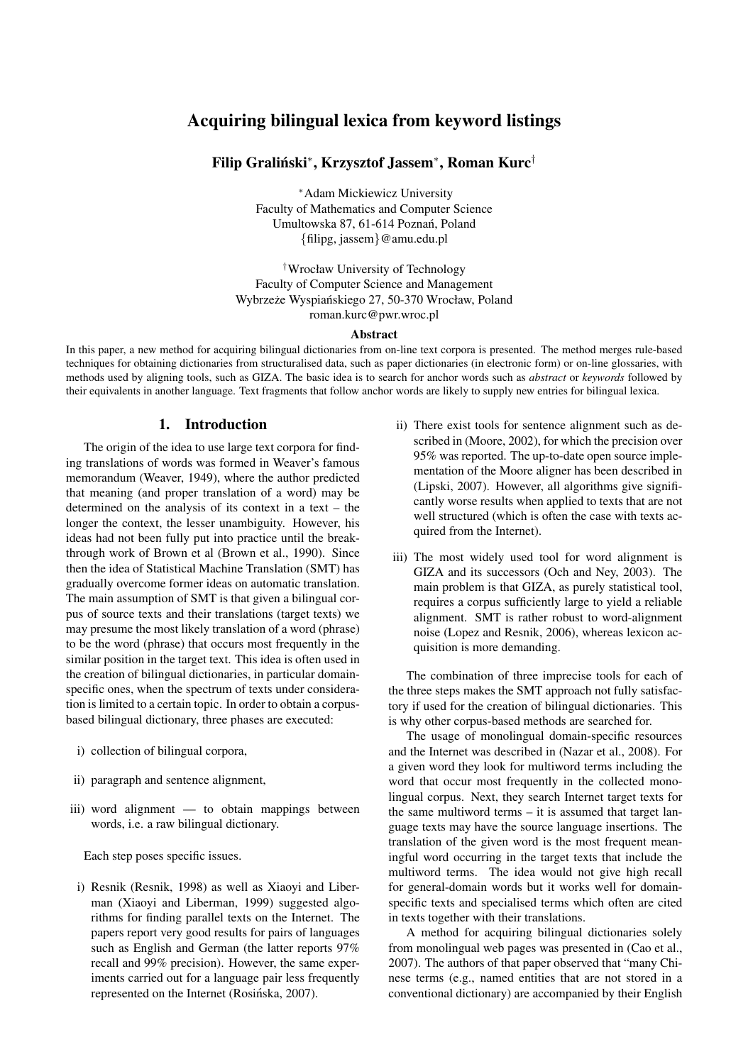# Acquiring bilingual lexica from keyword listings

# Filip Graliński\*, Krzysztof Jassem\*, Roman Kurc<sup>†</sup>

<sup>∗</sup>Adam Mickiewicz University Faculty of Mathematics and Computer Science Umultowska 87, 61-614 Poznań, Poland {filipg, jassem}@amu.edu.pl

†Wrocław University of Technology Faculty of Computer Science and Management Wybrzeże Wyspiańskiego 27, 50-370 Wrocław, Poland roman.kurc@pwr.wroc.pl

#### Abstract

In this paper, a new method for acquiring bilingual dictionaries from on-line text corpora is presented. The method merges rule-based techniques for obtaining dictionaries from structuralised data, such as paper dictionaries (in electronic form) or on-line glossaries, with methods used by aligning tools, such as GIZA. The basic idea is to search for anchor words such as *abstract* or *keywords* followed by their equivalents in another language. Text fragments that follow anchor words are likely to supply new entries for bilingual lexica.

### 1. Introduction

The origin of the idea to use large text corpora for finding translations of words was formed in Weaver's famous memorandum (Weaver, 1949), where the author predicted that meaning (and proper translation of a word) may be determined on the analysis of its context in a text – the longer the context, the lesser unambiguity. However, his ideas had not been fully put into practice until the breakthrough work of Brown et al (Brown et al., 1990). Since then the idea of Statistical Machine Translation (SMT) has gradually overcome former ideas on automatic translation. The main assumption of SMT is that given a bilingual corpus of source texts and their translations (target texts) we may presume the most likely translation of a word (phrase) to be the word (phrase) that occurs most frequently in the similar position in the target text. This idea is often used in the creation of bilingual dictionaries, in particular domainspecific ones, when the spectrum of texts under consideration is limited to a certain topic. In order to obtain a corpusbased bilingual dictionary, three phases are executed:

- i) collection of bilingual corpora,
- ii) paragraph and sentence alignment,
- iii) word alignment to obtain mappings between words, i.e. a raw bilingual dictionary.

Each step poses specific issues.

i) Resnik (Resnik, 1998) as well as Xiaoyi and Liberman (Xiaoyi and Liberman, 1999) suggested algorithms for finding parallel texts on the Internet. The papers report very good results for pairs of languages such as English and German (the latter reports 97% recall and 99% precision). However, the same experiments carried out for a language pair less frequently represented on the Internet (Rosińska, 2007).

- ii) There exist tools for sentence alignment such as described in (Moore, 2002), for which the precision over 95% was reported. The up-to-date open source implementation of the Moore aligner has been described in (Lipski, 2007). However, all algorithms give significantly worse results when applied to texts that are not well structured (which is often the case with texts acquired from the Internet).
- iii) The most widely used tool for word alignment is GIZA and its successors (Och and Ney, 2003). The main problem is that GIZA, as purely statistical tool, requires a corpus sufficiently large to yield a reliable alignment. SMT is rather robust to word-alignment noise (Lopez and Resnik, 2006), whereas lexicon acquisition is more demanding.

The combination of three imprecise tools for each of the three steps makes the SMT approach not fully satisfactory if used for the creation of bilingual dictionaries. This is why other corpus-based methods are searched for.

The usage of monolingual domain-specific resources and the Internet was described in (Nazar et al., 2008). For a given word they look for multiword terms including the word that occur most frequently in the collected monolingual corpus. Next, they search Internet target texts for the same multiword terms – it is assumed that target language texts may have the source language insertions. The translation of the given word is the most frequent meaningful word occurring in the target texts that include the multiword terms. The idea would not give high recall for general-domain words but it works well for domainspecific texts and specialised terms which often are cited in texts together with their translations.

A method for acquiring bilingual dictionaries solely from monolingual web pages was presented in (Cao et al., 2007). The authors of that paper observed that "many Chinese terms (e.g., named entities that are not stored in a conventional dictionary) are accompanied by their English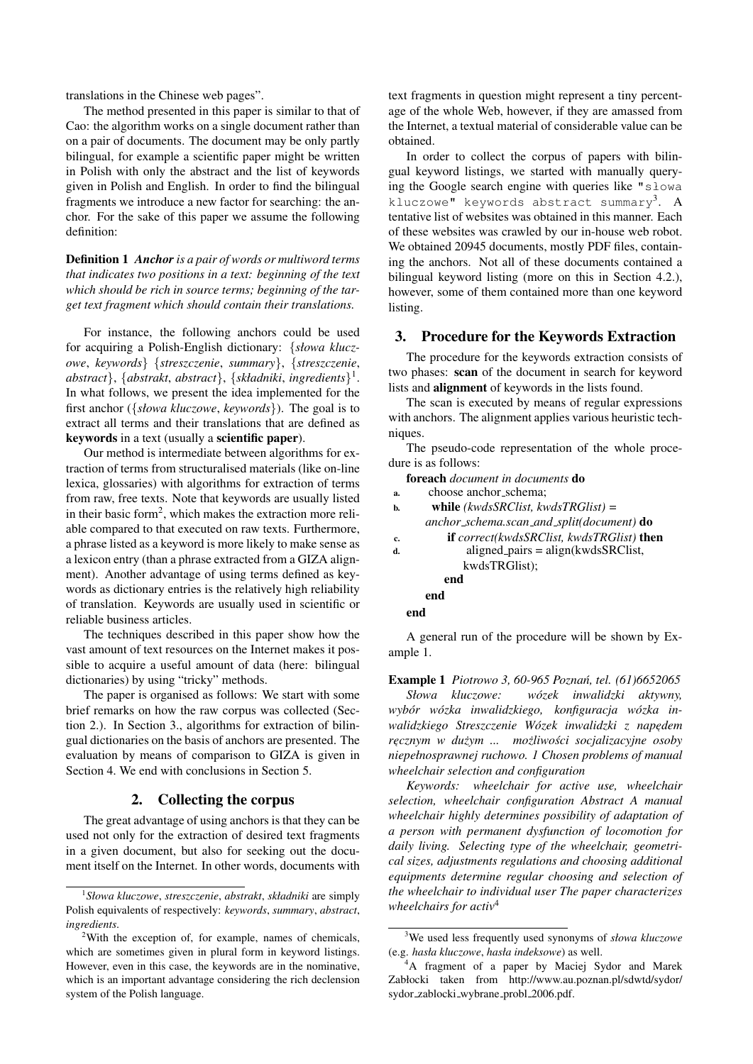translations in the Chinese web pages".

The method presented in this paper is similar to that of Cao: the algorithm works on a single document rather than on a pair of documents. The document may be only partly bilingual, for example a scientific paper might be written in Polish with only the abstract and the list of keywords given in Polish and English. In order to find the bilingual fragments we introduce a new factor for searching: the anchor. For the sake of this paper we assume the following definition:

Definition 1 *Anchoris a pair of words or multiword terms that indicates two positions in a text: beginning of the text which should be rich in source terms; beginning of the target text fragment which should contain their translations.*

For instance, the following anchors could be used for acquiring a Polish-English dictionary: {*słowa kluczowe*, *keywords*} {*streszczenie*, *summary*}, {*streszczenie*, *abstract*}, {*abstrakt*, *abstract*}, {*składniki*, *ingredients*} 1 . In what follows, we present the idea implemented for the first anchor ({*słowa kluczowe*, *keywords*}). The goal is to extract all terms and their translations that are defined as keywords in a text (usually a scientific paper).

Our method is intermediate between algorithms for extraction of terms from structuralised materials (like on-line lexica, glossaries) with algorithms for extraction of terms from raw, free texts. Note that keywords are usually listed in their basic form<sup>2</sup>, which makes the extraction more reliable compared to that executed on raw texts. Furthermore, a phrase listed as a keyword is more likely to make sense as a lexicon entry (than a phrase extracted from a GIZA alignment). Another advantage of using terms defined as keywords as dictionary entries is the relatively high reliability of translation. Keywords are usually used in scientific or reliable business articles.

The techniques described in this paper show how the vast amount of text resources on the Internet makes it possible to acquire a useful amount of data (here: bilingual dictionaries) by using "tricky" methods.

The paper is organised as follows: We start with some brief remarks on how the raw corpus was collected (Section 2.). In Section 3., algorithms for extraction of bilingual dictionaries on the basis of anchors are presented. The evaluation by means of comparison to GIZA is given in Section 4. We end with conclusions in Section 5.

# 2. Collecting the corpus

The great advantage of using anchors is that they can be used not only for the extraction of desired text fragments in a given document, but also for seeking out the document itself on the Internet. In other words, documents with text fragments in question might represent a tiny percentage of the whole Web, however, if they are amassed from the Internet, a textual material of considerable value can be obtained.

In order to collect the corpus of papers with bilingual keyword listings, we started with manually querying the Google search engine with queries like "slowa kluczowe" keywords abstract summary<sup>3</sup>. A tentative list of websites was obtained in this manner. Each of these websites was crawled by our in-house web robot. We obtained 20945 documents, mostly PDF files, containing the anchors. Not all of these documents contained a bilingual keyword listing (more on this in Section 4.2.), however, some of them contained more than one keyword listing.

## 3. Procedure for the Keywords Extraction

The procedure for the keywords extraction consists of two phases: scan of the document in search for keyword lists and alignment of keywords in the lists found.

The scan is executed by means of regular expressions with anchors. The alignment applies various heuristic techniques.

The pseudo-code representation of the whole procedure is as follows:

foreach *document in documents* do a. choose anchor schema;

| a. | CHOOSC AHCHOI_SCHCHIA.                      |
|----|---------------------------------------------|
| b. | while $(kwds$ SRClist, kwdsTRGlist) =       |
|    | anchor_schema.scan_and_split(document) $do$ |
| c. | if correct(kwdsSRClist, kwdsTRGlist) then   |
| d. | $aligned$ pairs = align $(kwds$ SRClist,    |
|    | kwdsTRGlist);                               |
|    | end                                         |
|    | end                                         |
|    | end                                         |
|    |                                             |

A general run of the procedure will be shown by Example 1.

Example 1 *Piotrowo 3, 60-965 Poznan, tel. (61)6652065 ´ Słowa kluczowe: wozek inwalidzki aktywny, ´ wybor w ´ ozka inwalidzkiego, konfiguracja w ´ ozka in- ´*

walidzkiego Streszczenie Wózek inwalidzki z napędem *r* , *ecznym w duzym ... mo ˙ zliwo ˙ sci socjalizacyjne osoby ´ niepełnosprawnej ruchowo. 1 Chosen problems of manual wheelchair selection and configuration*

*Keywords: wheelchair for active use, wheelchair selection, wheelchair configuration Abstract A manual wheelchair highly determines possibility of adaptation of a person with permanent dysfunction of locomotion for daily living. Selecting type of the wheelchair, geometrical sizes, adjustments regulations and choosing additional equipments determine regular choosing and selection of the wheelchair to individual user The paper characterizes wheelchairs for activ*<sup>4</sup>

<sup>1</sup> *Słowa kluczowe*, *streszczenie*, *abstrakt*, *składniki* are simply Polish equivalents of respectively: *keywords*, *summary*, *abstract*, *ingredients*.

<sup>2</sup>With the exception of, for example, names of chemicals, which are sometimes given in plural form in keyword listings. However, even in this case, the keywords are in the nominative, which is an important advantage considering the rich declension system of the Polish language.

<sup>3</sup>We used less frequently used synonyms of *słowa kluczowe* (e.g. *hasła kluczowe*, *hasła indeksowe*) as well.

<sup>4</sup>A fragment of a paper by Maciej Sydor and Marek Zabłocki taken from http://www.au.poznan.pl/sdwtd/sydor/ sydor\_zablocki\_wybrane\_probl\_2006.pdf.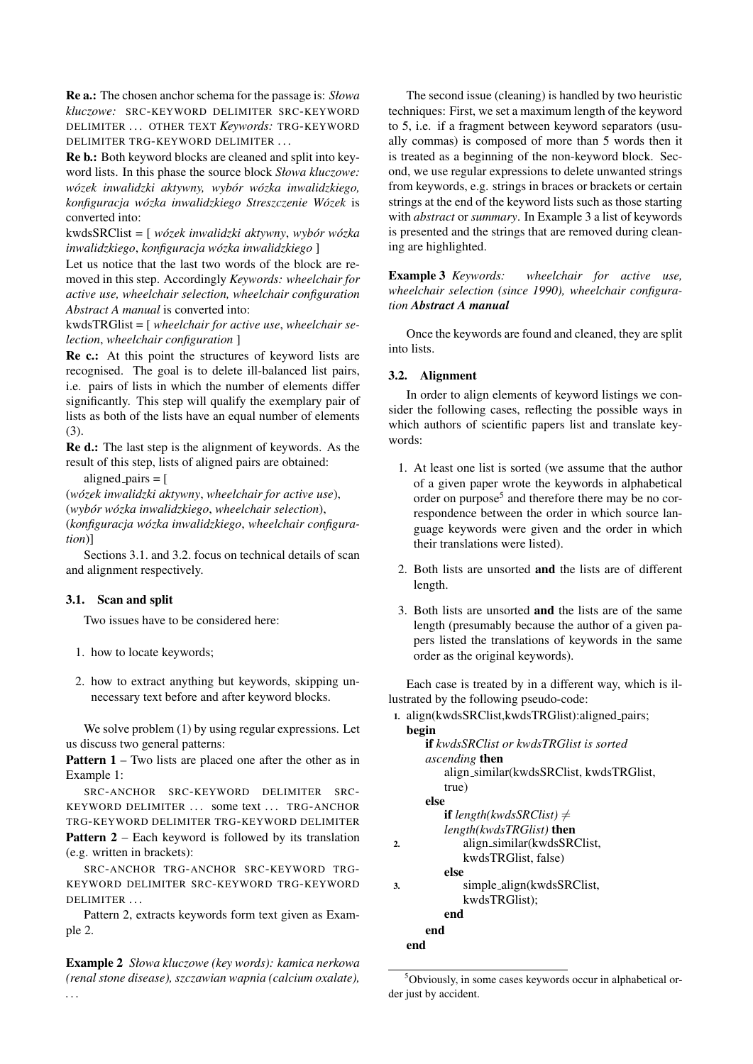Re a.: The chosen anchor schema for the passage is: *Słowa kluczowe:* SRC-KEYWORD DELIMITER SRC-KEYWORD DELIMITER . . . OTHER TEXT *Keywords:* TRG-KEYWORD DELIMITER TRG-KEYWORD DELIMITER . . .

Re b.: Both keyword blocks are cleaned and split into keyword lists. In this phase the source block *Słowa kluczowe: wózek inwalidzki aktywny, wybór wózka inwalidzkiego, konfiguracja wozka inwalidzkiego Streszczenie W ´ ozek ´* is converted into:

kwdsSRClist = [ *wozek inwalidzki aktywny ´* , *wybor w ´ ozka ´ inwalidzkiego*, *konfiguracja wozka inwalidzkiego ´* ]

Let us notice that the last two words of the block are removed in this step. Accordingly *Keywords: wheelchair for active use, wheelchair selection, wheelchair configuration Abstract A manual* is converted into:

kwdsTRGlist = [ *wheelchair for active use*, *wheelchair selection*, *wheelchair configuration* ]

Re c.: At this point the structures of keyword lists are recognised. The goal is to delete ill-balanced list pairs, i.e. pairs of lists in which the number of elements differ significantly. This step will qualify the exemplary pair of lists as both of the lists have an equal number of elements (3).

Re d.: The last step is the alignment of keywords. As the result of this step, lists of aligned pairs are obtained:

aligned  $-pairs = [$ 

(*wozek inwalidzki aktywny ´* , *wheelchair for active use*), (*wybor w ´ ozka inwalidzkiego ´* , *wheelchair selection*), (*konfiguracja wozka inwalidzkiego ´* , *wheelchair configuration*)]

Sections 3.1. and 3.2. focus on technical details of scan and alignment respectively.

# 3.1. Scan and split

Two issues have to be considered here:

- 1. how to locate keywords;
- 2. how to extract anything but keywords, skipping unnecessary text before and after keyword blocks.

We solve problem (1) by using regular expressions. Let us discuss two general patterns:

Pattern 1 – Two lists are placed one after the other as in Example 1:

SRC-ANCHOR SRC-KEYWORD DELIMITER SRC-KEYWORD DELIMITER ... some text ... TRG-ANCHOR TRG-KEYWORD DELIMITER TRG-KEYWORD DELIMITER Pattern 2 – Each keyword is followed by its translation (e.g. written in brackets):

SRC-ANCHOR TRG-ANCHOR SRC-KEYWORD TRG-KEYWORD DELIMITER SRC-KEYWORD TRG-KEYWORD DELIMITER ...

Pattern 2, extracts keywords form text given as Example 2.

Example 2 *Słowa kluczowe (key words): kamica nerkowa (renal stone disease), szczawian wapnia (calcium oxalate), . . .*

The second issue (cleaning) is handled by two heuristic techniques: First, we set a maximum length of the keyword to 5, i.e. if a fragment between keyword separators (usually commas) is composed of more than 5 words then it is treated as a beginning of the non-keyword block. Second, we use regular expressions to delete unwanted strings from keywords, e.g. strings in braces or brackets or certain strings at the end of the keyword lists such as those starting with *abstract* or *summary*. In Example 3 a list of keywords is presented and the strings that are removed during cleaning are highlighted.

Example 3 *Keywords: wheelchair for active use, wheelchair selection (since 1990), wheelchair configuration Abstract A manual*

Once the keywords are found and cleaned, they are split into lists.

## 3.2. Alignment

In order to align elements of keyword listings we consider the following cases, reflecting the possible ways in which authors of scientific papers list and translate keywords:

- 1. At least one list is sorted (we assume that the author of a given paper wrote the keywords in alphabetical order on purpose<sup>5</sup> and therefore there may be no correspondence between the order in which source language keywords were given and the order in which their translations were listed).
- 2. Both lists are unsorted and the lists are of different length.
- 3. Both lists are unsorted and the lists are of the same length (presumably because the author of a given papers listed the translations of keywords in the same order as the original keywords).

Each case is treated by in a different way, which is illustrated by the following pseudo-code:

```
1. align(kwdsSRClist,kwdsTRGlist):aligned pairs;
begin
```

|    | <b>if</b> kwdsSRClist or kwdsTRGlist is sorted |
|----|------------------------------------------------|
|    | <i>ascending</i> then                          |
|    | align_similar(kwdsSRClist, kwdsTRGlist,        |
|    | true)                                          |
|    | else                                           |
|    | <b>if</b> length(kwdsSRClist) $\neq$           |
|    | length(kwdsTRGlist) then                       |
| 2. | align_similar(kwdsSRClist,                     |
|    | kwdsTRGlist, false)                            |
|    | else                                           |
| 3. | simple_align(kwdsSRClist,                      |
|    | kwdsTRGlist);                                  |
|    | end                                            |
|    | end                                            |
|    | end                                            |
|    |                                                |

<sup>5</sup>Obviously, in some cases keywords occur in alphabetical order just by accident.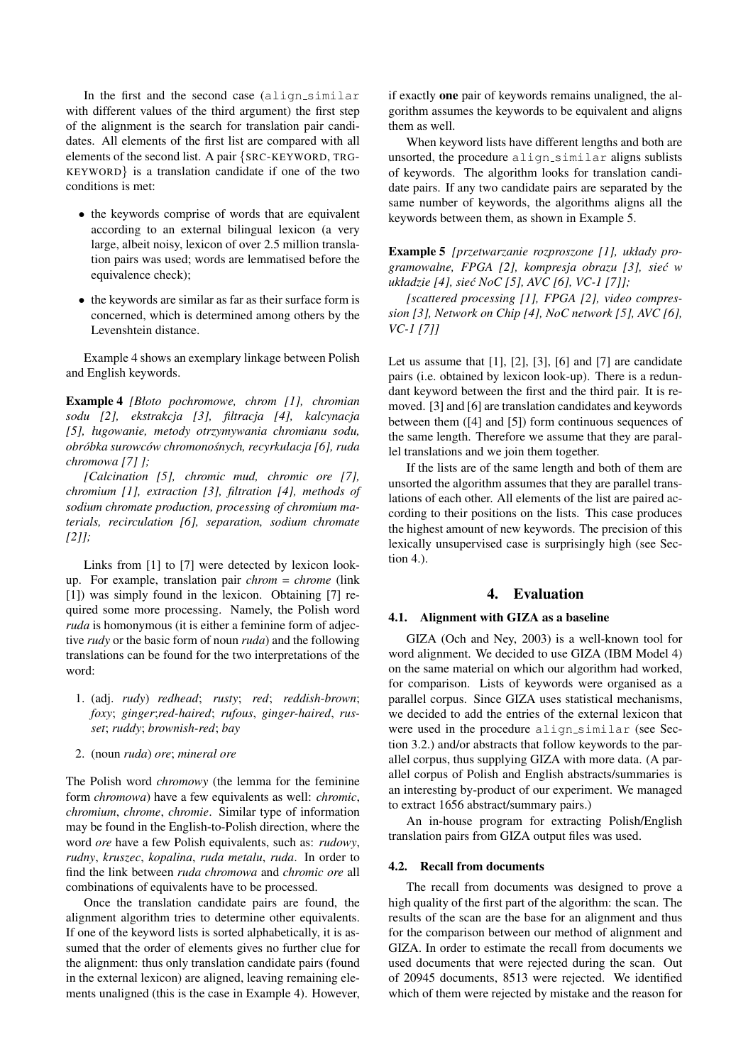In the first and the second case  $(align\_similar$ with different values of the third argument) the first step of the alignment is the search for translation pair candidates. All elements of the first list are compared with all elements of the second list. A pair {SRC-KEYWORD, TRG-KEYWORD} is a translation candidate if one of the two conditions is met:

- the keywords comprise of words that are equivalent according to an external bilingual lexicon (a very large, albeit noisy, lexicon of over 2.5 million translation pairs was used; words are lemmatised before the equivalence check);
- the keywords are similar as far as their surface form is concerned, which is determined among others by the Levenshtein distance.

Example 4 shows an exemplary linkage between Polish and English keywords.

Example 4 *[Błoto pochromowe, chrom [1], chromian sodu [2], ekstrakcja [3], filtracja [4], kalcynacja [5], ługowanie, metody otrzymywania chromianu sodu, obrobka surowc ´ ow chromono ´ snych, recyrkulacja [6], ruda ´ chromowa [7] ];*

*[Calcination [5], chromic mud, chromic ore [7], chromium [1], extraction [3], filtration [4], methods of sodium chromate production, processing of chromium materials, recirculation [6], separation, sodium chromate [2]];*

Links from [1] to [7] were detected by lexicon lookup. For example, translation pair *chrom* = *chrome* (link [1]) was simply found in the lexicon. Obtaining [7] required some more processing. Namely, the Polish word *ruda* is homonymous (it is either a feminine form of adjective *rudy* or the basic form of noun *ruda*) and the following translations can be found for the two interpretations of the word:

- 1. (adj. *rudy*) *redhead*; *rusty*; *red*; *reddish-brown*; *foxy*; *ginger*;*red-haired*; *rufous*, *ginger-haired*, *russet*; *ruddy*; *brownish-red*; *bay*
- 2. (noun *ruda*) *ore*; *mineral ore*

The Polish word *chromowy* (the lemma for the feminine form *chromowa*) have a few equivalents as well: *chromic*, *chromium*, *chrome*, *chromie*. Similar type of information may be found in the English-to-Polish direction, where the word *ore* have a few Polish equivalents, such as: *rudowy*, *rudny*, *kruszec*, *kopalina*, *ruda metalu*, *ruda*. In order to find the link between *ruda chromowa* and *chromic ore* all combinations of equivalents have to be processed.

Once the translation candidate pairs are found, the alignment algorithm tries to determine other equivalents. If one of the keyword lists is sorted alphabetically, it is assumed that the order of elements gives no further clue for the alignment: thus only translation candidate pairs (found in the external lexicon) are aligned, leaving remaining elements unaligned (this is the case in Example 4). However, if exactly one pair of keywords remains unaligned, the algorithm assumes the keywords to be equivalent and aligns them as well.

When keyword lists have different lengths and both are unsorted, the procedure align\_similar aligns sublists of keywords. The algorithm looks for translation candidate pairs. If any two candidate pairs are separated by the same number of keywords, the algorithms aligns all the keywords between them, as shown in Example 5.

Example 5 *[przetwarzanie rozproszone [1], układy programowalne, FPGA [2], kompresja obrazu [3], siec w ´ układzie [4], siec NoC [5], AVC [6], VC-1 [7]]; ´*

*[scattered processing [1], FPGA [2], video compression [3], Network on Chip [4], NoC network [5], AVC [6], VC-1 [7]]*

Let us assume that  $[1]$ ,  $[2]$ ,  $[3]$ ,  $[6]$  and  $[7]$  are candidate pairs (i.e. obtained by lexicon look-up). There is a redundant keyword between the first and the third pair. It is removed. [3] and [6] are translation candidates and keywords between them ([4] and [5]) form continuous sequences of the same length. Therefore we assume that they are parallel translations and we join them together.

If the lists are of the same length and both of them are unsorted the algorithm assumes that they are parallel translations of each other. All elements of the list are paired according to their positions on the lists. This case produces the highest amount of new keywords. The precision of this lexically unsupervised case is surprisingly high (see Section 4.).

### 4. Evaluation

## 4.1. Alignment with GIZA as a baseline

GIZA (Och and Ney, 2003) is a well-known tool for word alignment. We decided to use GIZA (IBM Model 4) on the same material on which our algorithm had worked, for comparison. Lists of keywords were organised as a parallel corpus. Since GIZA uses statistical mechanisms, we decided to add the entries of the external lexicon that were used in the procedure align\_similar (see Section 3.2.) and/or abstracts that follow keywords to the parallel corpus, thus supplying GIZA with more data. (A parallel corpus of Polish and English abstracts/summaries is an interesting by-product of our experiment. We managed to extract 1656 abstract/summary pairs.)

An in-house program for extracting Polish/English translation pairs from GIZA output files was used.

#### 4.2. Recall from documents

The recall from documents was designed to prove a high quality of the first part of the algorithm: the scan. The results of the scan are the base for an alignment and thus for the comparison between our method of alignment and GIZA. In order to estimate the recall from documents we used documents that were rejected during the scan. Out of 20945 documents, 8513 were rejected. We identified which of them were rejected by mistake and the reason for